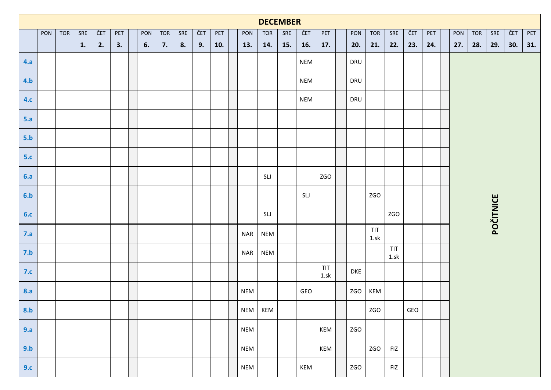|            |     |            |     |     |     |     |            |     |     |     |            | <b>DECEMBER</b> |     |            |                                                                                                |  |            |             |                |     |     |  |     |     |                  |     |  |  |  |  |  |  |  |  |
|------------|-----|------------|-----|-----|-----|-----|------------|-----|-----|-----|------------|-----------------|-----|------------|------------------------------------------------------------------------------------------------|--|------------|-------------|----------------|-----|-----|--|-----|-----|------------------|-----|--|--|--|--|--|--|--|--|
|            | PON | <b>TOR</b> | SRE | ČET | PET | PON | <b>TOR</b> | SRE | ČET | PET | PON        | <b>TOR</b>      | SRE | ČET        | <b>TOR</b><br>SRE<br>ČET<br>SRE<br>ČET<br>PET<br>PON<br>PET<br>PON<br><b>TOR</b><br>PET<br>31. |  |            |             |                |     |     |  |     |     |                  |     |  |  |  |  |  |  |  |  |
|            |     |            | 1.  | 2.  | 3.  | 6.  | 7.         | 8.  | 9.  | 10. | 13.        | 14.             | 15. | 16.        | 17.                                                                                            |  | 20.        | 21.         | 22.            | 23. | 24. |  | 27. | 28. | 29.              | 30. |  |  |  |  |  |  |  |  |
| 4.a        |     |            |     |     |     |     |            |     |     |     |            |                 |     | <b>NEM</b> |                                                                                                |  | DRU        |             |                |     |     |  |     |     |                  |     |  |  |  |  |  |  |  |  |
| 4.b        |     |            |     |     |     |     |            |     |     |     |            |                 |     | <b>NEM</b> |                                                                                                |  | DRU        |             |                |     |     |  |     |     |                  |     |  |  |  |  |  |  |  |  |
| 4.c        |     |            |     |     |     |     |            |     |     |     |            |                 |     | <b>NEM</b> |                                                                                                |  | DRU        |             |                |     |     |  |     |     |                  |     |  |  |  |  |  |  |  |  |
| 5.a        |     |            |     |     |     |     |            |     |     |     |            |                 |     |            |                                                                                                |  |            |             |                |     |     |  |     |     |                  |     |  |  |  |  |  |  |  |  |
| 5.b        |     |            |     |     |     |     |            |     |     |     |            |                 |     |            |                                                                                                |  |            |             |                |     |     |  |     |     |                  |     |  |  |  |  |  |  |  |  |
| 5.c        |     |            |     |     |     |     |            |     |     |     |            |                 |     |            |                                                                                                |  |            |             |                |     |     |  |     |     |                  |     |  |  |  |  |  |  |  |  |
| 6.a        |     |            |     |     |     |     |            |     |     |     |            | SLJ             |     |            | ZGO                                                                                            |  |            |             |                |     |     |  |     |     |                  |     |  |  |  |  |  |  |  |  |
| 6.b        |     |            |     |     |     |     |            |     |     |     |            |                 |     | SLJ        |                                                                                                |  |            | ZGO         |                |     |     |  |     |     |                  |     |  |  |  |  |  |  |  |  |
| 6.c        |     |            |     |     |     |     |            |     |     |     |            | SLJ             |     |            |                                                                                                |  |            |             | <b>ZGO</b>     |     |     |  |     |     | <b>POČITNICE</b> |     |  |  |  |  |  |  |  |  |
| 7.a        |     |            |     |     |     |     |            |     |     |     | <b>NAR</b> | <b>NEM</b>      |     |            |                                                                                                |  |            | TIT<br>1.5k |                |     |     |  |     |     |                  |     |  |  |  |  |  |  |  |  |
| 7.b        |     |            |     |     |     |     |            |     |     |     | <b>NAR</b> | <b>NEM</b>      |     |            |                                                                                                |  |            |             | TIT<br>$1.$ sk |     |     |  |     |     |                  |     |  |  |  |  |  |  |  |  |
| 7.c        |     |            |     |     |     |     |            |     |     |     |            |                 |     |            | TIT<br>$1.$ sk                                                                                 |  | <b>DKE</b> |             |                |     |     |  |     |     |                  |     |  |  |  |  |  |  |  |  |
| <b>8.a</b> |     |            |     |     |     |     |            |     |     |     | <b>NEM</b> |                 |     | GEO        |                                                                                                |  | <b>ZGO</b> | KEM         |                |     |     |  |     |     |                  |     |  |  |  |  |  |  |  |  |
| 8.b        |     |            |     |     |     |     |            |     |     |     |            | NEM KEM         |     |            |                                                                                                |  |            | <b>ZGO</b>  |                | GEO |     |  |     |     |                  |     |  |  |  |  |  |  |  |  |
| 9.a        |     |            |     |     |     |     |            |     |     |     | <b>NEM</b> |                 |     |            | KEM                                                                                            |  | <b>ZGO</b> |             |                |     |     |  |     |     |                  |     |  |  |  |  |  |  |  |  |
| 9.b        |     |            |     |     |     |     |            |     |     |     | <b>NEM</b> |                 |     |            | KEM                                                                                            |  |            | <b>ZGO</b>  | FIZ            |     |     |  |     |     |                  |     |  |  |  |  |  |  |  |  |
| 9.c        |     |            |     |     |     |     |            |     |     |     | <b>NEM</b> |                 |     | KEM        |                                                                                                |  | <b>ZGO</b> |             | FIZ            |     |     |  |     |     |                  |     |  |  |  |  |  |  |  |  |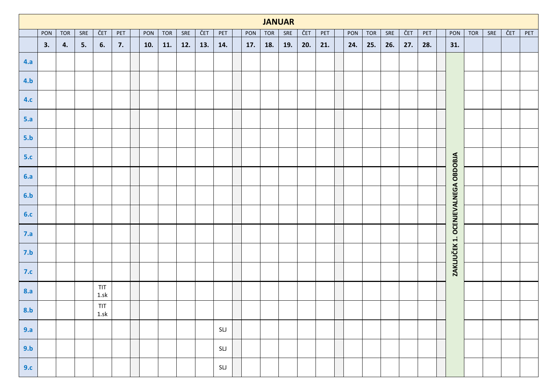|     |     |     |     |                |     |     |            |     |     |     |     |     | <b>JANUAR</b> |     |     |     |            |     |     |     |                                    |            |     |     |     |
|-----|-----|-----|-----|----------------|-----|-----|------------|-----|-----|-----|-----|-----|---------------|-----|-----|-----|------------|-----|-----|-----|------------------------------------|------------|-----|-----|-----|
|     | PON | TOR | SRE | ČET            | PET | PON | <b>TOR</b> | SRE | ČET | PET | PON | TOR | SRE           | ČET | PET | PON | <b>TOR</b> | SRE | ČET | PET | PON                                | <b>TOR</b> | SRE | ČET | PET |
|     | 3.  | 4.  | 5.  | 6.             | 7.  | 10. | 11.        | 12. | 13. | 14. | 17. | 18. | <b>19.</b>    | 20. | 21. | 24. | 25.        | 26. | 27. | 28. | 31.                                |            |     |     |     |
| 4.a |     |     |     |                |     |     |            |     |     |     |     |     |               |     |     |     |            |     |     |     |                                    |            |     |     |     |
| 4.b |     |     |     |                |     |     |            |     |     |     |     |     |               |     |     |     |            |     |     |     |                                    |            |     |     |     |
| 4.c |     |     |     |                |     |     |            |     |     |     |     |     |               |     |     |     |            |     |     |     |                                    |            |     |     |     |
| 5.a |     |     |     |                |     |     |            |     |     |     |     |     |               |     |     |     |            |     |     |     |                                    |            |     |     |     |
| 5.b |     |     |     |                |     |     |            |     |     |     |     |     |               |     |     |     |            |     |     |     |                                    |            |     |     |     |
| 5.c |     |     |     |                |     |     |            |     |     |     |     |     |               |     |     |     |            |     |     |     |                                    |            |     |     |     |
| 6.a |     |     |     |                |     |     |            |     |     |     |     |     |               |     |     |     |            |     |     |     |                                    |            |     |     |     |
| 6.b |     |     |     |                |     |     |            |     |     |     |     |     |               |     |     |     |            |     |     |     |                                    |            |     |     |     |
| 6.c |     |     |     |                |     |     |            |     |     |     |     |     |               |     |     |     |            |     |     |     |                                    |            |     |     |     |
| 7.a |     |     |     |                |     |     |            |     |     |     |     |     |               |     |     |     |            |     |     |     | ZAKLJUČEK 1. OCENJEVALNEGA OBDOBJA |            |     |     |     |
| 7.b |     |     |     |                |     |     |            |     |     |     |     |     |               |     |     |     |            |     |     |     |                                    |            |     |     |     |
| 7.c |     |     |     |                |     |     |            |     |     |     |     |     |               |     |     |     |            |     |     |     |                                    |            |     |     |     |
| 8.a |     |     |     | TIT<br>1.5k    |     |     |            |     |     |     |     |     |               |     |     |     |            |     |     |     |                                    |            |     |     |     |
| 8.b |     |     |     | TIT<br>$1.$ sk |     |     |            |     |     |     |     |     |               |     |     |     |            |     |     |     |                                    |            |     |     |     |
| 9.a |     |     |     |                |     |     |            |     |     | SLJ |     |     |               |     |     |     |            |     |     |     |                                    |            |     |     |     |
| 9.b |     |     |     |                |     |     |            |     |     | SLJ |     |     |               |     |     |     |            |     |     |     |                                    |            |     |     |     |
| 9.c |     |     |     |                |     |     |            |     |     | SLJ |     |     |               |     |     |     |            |     |     |     |                                    |            |     |     |     |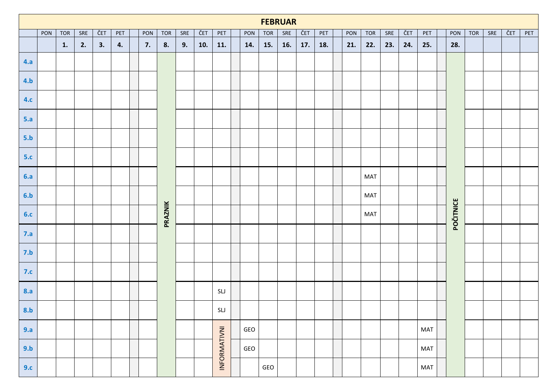|            |     |            |     |     |     |     |            |     |     |                                   |     | <b>FEBRUAR</b> |     |     |     |     |            |     |     |     |           |            |     |     |     |
|------------|-----|------------|-----|-----|-----|-----|------------|-----|-----|-----------------------------------|-----|----------------|-----|-----|-----|-----|------------|-----|-----|-----|-----------|------------|-----|-----|-----|
|            | PON | <b>TOR</b> | SRE | ČET | PET | PON | <b>TOR</b> | SRE | ČET | PET                               | PON | <b>TOR</b>     | SRE | ČET | PET | PON | <b>TOR</b> | SRE | ČET | PET | PON       | <b>TOR</b> | SRE | ČET | PET |
|            |     | 1.         | 2.  | 3.  | 4.  | 7.  | 8.         | 9.  | 10. | 11.                               | 14. | 15.            | 16. | 17. | 18. | 21. | 22.        | 23. | 24. | 25. | 28.       |            |     |     |     |
| 4.a        |     |            |     |     |     |     |            |     |     |                                   |     |                |     |     |     |     |            |     |     |     |           |            |     |     |     |
| 4.b        |     |            |     |     |     |     |            |     |     |                                   |     |                |     |     |     |     |            |     |     |     |           |            |     |     |     |
| 4.c        |     |            |     |     |     |     |            |     |     |                                   |     |                |     |     |     |     |            |     |     |     |           |            |     |     |     |
| 5.a        |     |            |     |     |     |     |            |     |     |                                   |     |                |     |     |     |     |            |     |     |     |           |            |     |     |     |
| 5.b        |     |            |     |     |     |     |            |     |     |                                   |     |                |     |     |     |     |            |     |     |     |           |            |     |     |     |
| 5.c        |     |            |     |     |     |     |            |     |     |                                   |     |                |     |     |     |     |            |     |     |     |           |            |     |     |     |
| 6.a        |     |            |     |     |     |     |            |     |     |                                   |     |                |     |     |     |     | <b>MAT</b> |     |     |     |           |            |     |     |     |
| 6.b        |     |            |     |     |     |     |            |     |     |                                   |     |                |     |     |     |     | <b>MAT</b> |     |     |     |           |            |     |     |     |
| 6.c        |     |            |     |     |     |     | PRAZNIK    |     |     |                                   |     |                |     |     |     |     | <b>MAT</b> |     |     |     | POČITNICE |            |     |     |     |
| 7.a        |     |            |     |     |     |     |            |     |     |                                   |     |                |     |     |     |     |            |     |     |     |           |            |     |     |     |
| 7.b        |     |            |     |     |     |     |            |     |     |                                   |     |                |     |     |     |     |            |     |     |     |           |            |     |     |     |
| 7.c        |     |            |     |     |     |     |            |     |     |                                   |     |                |     |     |     |     |            |     |     |     |           |            |     |     |     |
| <b>8.a</b> |     |            |     |     |     |     |            |     |     | $\ensuremath{\mathsf{SL}}\xspace$ |     |                |     |     |     |     |            |     |     |     |           |            |     |     |     |
| 8.b        |     |            |     |     |     |     |            |     |     | SLJ                               |     |                |     |     |     |     |            |     |     |     |           |            |     |     |     |
| 9.a        |     |            |     |     |     |     |            |     |     |                                   | GEO |                |     |     |     |     |            |     |     | MAT |           |            |     |     |     |
| 9.b        |     |            |     |     |     |     |            |     |     | INFORMATIVNI                      | GEO |                |     |     |     |     |            |     |     | MAT |           |            |     |     |     |
| 9.c        |     |            |     |     |     |     |            |     |     |                                   |     | GEO            |     |     |     |     |            |     |     | MAT |           |            |     |     |     |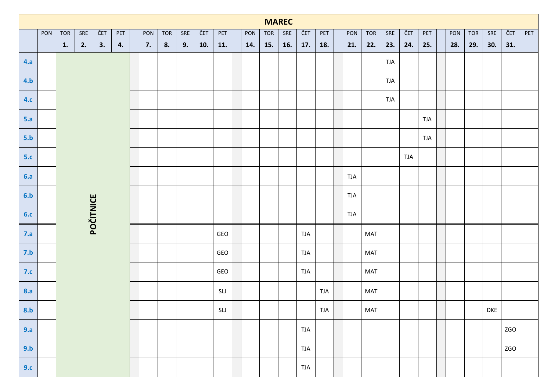|                                |     |            |           |           |     |     |            |     |     |     | <b>MAREC</b> |            |             |            |            |            |            |            |            |            |     |            |            |            |     |
|--------------------------------|-----|------------|-----------|-----------|-----|-----|------------|-----|-----|-----|--------------|------------|-------------|------------|------------|------------|------------|------------|------------|------------|-----|------------|------------|------------|-----|
|                                | PON | <b>TOR</b> | SRE<br>2. | ČET<br>3. | PET | PON | <b>TOR</b> | SRE | ČET | PET | PON          | <b>TOR</b> | ${\sf SRE}$ | ČET        | PET        | PON        | <b>TOR</b> | SRE        | ČET        | PET        | PON | <b>TOR</b> | SRE        | ČET        | PET |
|                                |     | 1.         | 4.        | 7.        | 8.  | 9.  | 10.        | 11. | 14. | 15. | 16.          | 17.        | 18.         | 21.        | 22.        | 23.        | 24.        | 25.        | 28.        | 29.        | 30. | 31.        |            |            |     |
| 4.a                            |     |            |           |           |     |     |            |     |     |     |              |            |             |            |            |            |            | <b>TJA</b> |            |            |     |            |            |            |     |
| 4.b                            |     |            |           |           |     |     |            |     |     |     |              |            |             |            |            |            |            | <b>TJA</b> |            |            |     |            |            |            |     |
| 4.c                            |     |            |           |           |     |     |            |     |     |     |              |            |             |            |            |            |            | <b>TJA</b> |            |            |     |            |            |            |     |
| 5.a                            |     |            |           |           |     |     |            |     |     |     |              |            |             |            |            |            |            |            |            | <b>TJA</b> |     |            |            |            |     |
| 5.b                            |     |            |           |           |     |     |            |     |     |     |              |            |             |            |            |            |            |            |            | <b>TJA</b> |     |            |            |            |     |
| 5.c                            |     |            |           |           |     |     |            |     |     |     |              |            |             |            |            |            |            |            | <b>TJA</b> |            |     |            |            |            |     |
| 6.a                            |     |            |           |           |     |     |            |     |     |     |              |            |             |            |            | <b>TJA</b> |            |            |            |            |     |            |            |            |     |
| 6.b                            |     |            |           |           |     |     |            |     |     |     |              |            |             |            |            | <b>TJA</b> |            |            |            |            |     |            |            |            |     |
| 6.c                            |     |            | POČITNICE |           |     |     |            |     |     |     |              |            |             |            |            | <b>TJA</b> |            |            |            |            |     |            |            |            |     |
| 7.a                            |     |            |           |           |     |     |            |     |     | GEO |              |            |             | <b>TJA</b> |            |            | MAT        |            |            |            |     |            |            |            |     |
| 7.b                            |     |            |           |           |     |     |            |     |     | GEO |              |            |             | <b>TJA</b> |            |            | MAT        |            |            |            |     |            |            |            |     |
| 7.c                            |     |            |           |           |     |     |            |     |     | GEO |              |            |             | <b>TJA</b> |            |            | MAT        |            |            |            |     |            |            |            |     |
| <b>8.a</b>                     |     |            |           |           |     |     |            |     |     | SLJ |              |            |             |            | <b>TJA</b> |            | MAT        |            |            |            |     |            |            |            |     |
| <u>ranski po</u><br><b>8.b</b> |     |            |           |           |     |     |            |     |     | SLJ |              |            |             |            | <b>TJA</b> |            | MAT        |            |            |            |     |            | <b>DKE</b> |            |     |
| 9.a                            |     |            |           |           |     |     |            |     |     |     |              |            |             | <b>TJA</b> |            |            |            |            |            |            |     |            |            | ZGO        |     |
| 9.b                            |     |            |           |           |     |     |            |     |     |     |              |            |             | <b>TJA</b> |            |            |            |            |            |            |     |            |            | <b>ZGO</b> |     |
| 9.c                            |     |            |           |           |     |     |            |     |     |     |              |            |             | <b>TJA</b> |            |            |            |            |            |            |     |            |            |            |     |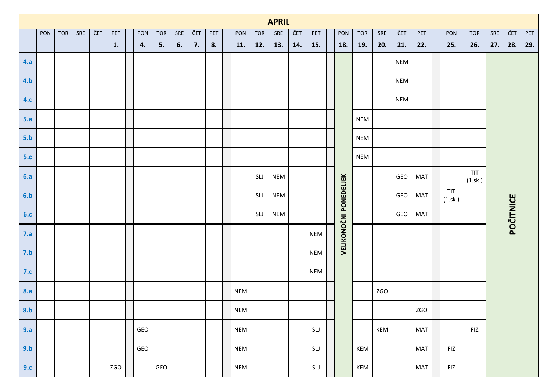|            |     |     |     |     |     |     |            |     |     |     |            |            | <b>APRIL</b> |     |            |                               |            |     |            |            |                |                |             |                  |     |
|------------|-----|-----|-----|-----|-----|-----|------------|-----|-----|-----|------------|------------|--------------|-----|------------|-------------------------------|------------|-----|------------|------------|----------------|----------------|-------------|------------------|-----|
|            | PON | TOR | SRE | ČET | PET | PON | <b>TOR</b> | SRE | ČET | PET | PON        | <b>TOR</b> | SRE          | ČET | PET        | PON                           | <b>TOR</b> | SRE | ČET        | PET        | PON            | <b>TOR</b>     | ${\sf SRE}$ | ČET              | PET |
|            |     |     |     |     | 1.  | 4.  | 5.         | 6.  | 7.  | 8.  | 11.        | 12.        | 13.          | 14. | 15.        | 18.                           | 19.        | 20. | 21.        | 22.        | 25.            | 26.            | 27.         | 28.              | 29. |
| 4.a        |     |     |     |     |     |     |            |     |     |     |            |            |              |     |            |                               |            |     | <b>NEM</b> |            |                |                |             |                  |     |
| 4.b        |     |     |     |     |     |     |            |     |     |     |            |            |              |     |            |                               |            |     | <b>NEM</b> |            |                |                |             |                  |     |
| <b>4.c</b> |     |     |     |     |     |     |            |     |     |     |            |            |              |     |            |                               |            |     | <b>NEM</b> |            |                |                |             |                  |     |
| 5.a        |     |     |     |     |     |     |            |     |     |     |            |            |              |     |            |                               | <b>NEM</b> |     |            |            |                |                |             |                  |     |
| 5.b        |     |     |     |     |     |     |            |     |     |     |            |            |              |     |            |                               | <b>NEM</b> |     |            |            |                |                |             |                  |     |
| 5.c        |     |     |     |     |     |     |            |     |     |     |            |            |              |     |            |                               | <b>NEM</b> |     |            |            |                |                |             |                  |     |
| 6.a        |     |     |     |     |     |     |            |     |     |     |            | SLJ        | <b>NEM</b>   |     |            |                               |            |     | GEO        | <b>MAT</b> |                | TIT<br>(1.sk.) |             |                  |     |
| 6.b        |     |     |     |     |     |     |            |     |     |     |            | SLJ        | <b>NEM</b>   |     |            |                               |            |     | GEO        | <b>MAT</b> | TIT<br>(1.sk.) |                |             |                  |     |
| 6.c        |     |     |     |     |     |     |            |     |     |     |            | SLJ        | <b>NEM</b>   |     |            |                               |            |     | GEO        | <b>MAT</b> |                |                |             | <b>POČITNICE</b> |     |
| 7.a        |     |     |     |     |     |     |            |     |     |     |            |            |              |     | <b>NEM</b> | <b>VELIKONOČNI PONEDELJEK</b> |            |     |            |            |                |                |             |                  |     |
| 7.b        |     |     |     |     |     |     |            |     |     |     |            |            |              |     | <b>NEM</b> |                               |            |     |            |            |                |                |             |                  |     |
| 7.c        |     |     |     |     |     |     |            |     |     |     |            |            |              |     | <b>NEM</b> |                               |            |     |            |            |                |                |             |                  |     |
| <b>8.a</b> |     |     |     |     |     |     |            |     |     |     | <b>NEM</b> |            |              |     |            |                               |            | ZGO |            |            |                |                |             |                  |     |
|            |     |     |     |     |     |     |            |     |     |     | <b>NEM</b> |            |              |     |            |                               |            |     |            | ZGO        |                |                |             |                  |     |
| 9.a        |     |     |     |     |     | GEO |            |     |     |     | <b>NEM</b> |            |              |     | SLJ        |                               |            | KEM |            | <b>MAT</b> |                | FIZ            |             |                  |     |
| 9.b        |     |     |     |     |     | GEO |            |     |     |     | <b>NEM</b> |            |              |     | SLJ        |                               | KEM        |     |            | <b>MAT</b> | FIZ            |                |             |                  |     |
| 9.c        |     |     |     |     | ZGO |     | GEO        |     |     |     | <b>NEM</b> |            |              |     | SLJ        |                               | KEM        |     |            | <b>MAT</b> | FIZ            |                |             |                  |     |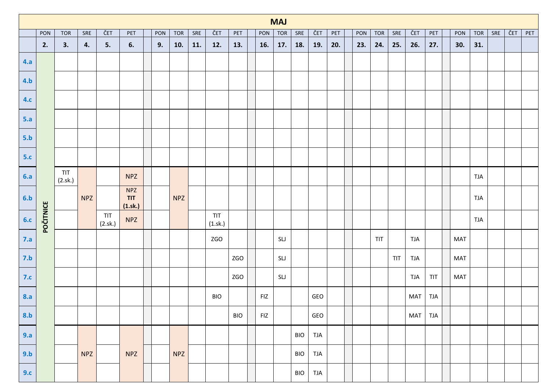|            |           |                |            |                |                                    |     |            |     |                |            |                | <b>MAJ</b> |             |            |     |     |            |                                                         |            |            |     |            |     |     |     |
|------------|-----------|----------------|------------|----------------|------------------------------------|-----|------------|-----|----------------|------------|----------------|------------|-------------|------------|-----|-----|------------|---------------------------------------------------------|------------|------------|-----|------------|-----|-----|-----|
|            | PON       | <b>TOR</b>     | SRE        | ČET            | PET                                | PON | <b>TOR</b> | SRE | ČET            | PET        | PON            | <b>TOR</b> | ${\sf SRE}$ | ČET        | PET | PON | <b>TOR</b> | SRE                                                     | ČET        | PET        | PON | <b>TOR</b> | SRE | ČET | PET |
|            | 2.        | 3.             | 4.         | 5.             | 6.                                 | 9.  | 10.        | 11. | 12.            | 13.        | 16.            | 17.        | 18.         | 19.        | 20. | 23. | 24.        | 25.                                                     | 26.        | 27.        | 30. | 31.        |     |     |     |
| 4.a        |           |                |            |                |                                    |     |            |     |                |            |                |            |             |            |     |     |            |                                                         |            |            |     |            |     |     |     |
| 4.b        |           |                |            |                |                                    |     |            |     |                |            |                |            |             |            |     |     |            |                                                         |            |            |     |            |     |     |     |
| 4.c        |           |                |            |                |                                    |     |            |     |                |            |                |            |             |            |     |     |            |                                                         |            |            |     |            |     |     |     |
| 5.a        |           |                |            |                |                                    |     |            |     |                |            |                |            |             |            |     |     |            |                                                         |            |            |     |            |     |     |     |
| 5.b        |           |                |            |                |                                    |     |            |     |                |            |                |            |             |            |     |     |            |                                                         |            |            |     |            |     |     |     |
| 5.c        |           |                |            |                |                                    |     |            |     |                |            |                |            |             |            |     |     |            |                                                         |            |            |     |            |     |     |     |
| 6.a        |           | TIT<br>(2.sk.) |            |                | <b>NPZ</b>                         |     |            |     |                |            |                |            |             |            |     |     |            |                                                         |            |            |     | <b>TJA</b> |     |     |     |
| 6.b        |           |                | <b>NPZ</b> |                | <b>NPZ</b><br>TIT<br>$(1.$ sk. $)$ |     | <b>NPZ</b> |     |                |            |                |            |             |            |     |     |            |                                                         |            |            |     | <b>TJA</b> |     |     |     |
| 6.c        | POČITNICE |                |            | TIT<br>(2.sk.) | <b>NPZ</b>                         |     |            |     | TIT<br>(1.sk.) |            |                |            |             |            |     |     |            |                                                         |            |            |     | <b>TJA</b> |     |     |     |
| 7.a        |           |                |            |                |                                    |     |            |     | <b>ZGO</b>     |            |                | SLJ        |             |            |     |     | TIT        |                                                         | <b>TJA</b> |            | MAT |            |     |     |     |
| 7.b        |           |                |            |                |                                    |     |            |     |                | <b>ZGO</b> |                | SLJ        |             |            |     |     |            | $\ensuremath{\mathsf{T}}\ensuremath{\mathsf{T}}\xspace$ | <b>TJA</b> |            | MAT |            |     |     |     |
| 7.c        |           |                |            |                |                                    |     |            |     |                | <b>ZGO</b> |                | SLJ        |             |            |     |     |            |                                                         | <b>TJA</b> | TIT        | MAT |            |     |     |     |
| <b>8.a</b> |           |                |            |                |                                    |     |            |     | <b>BIO</b>     |            | $\mathsf{FIZ}$ |            |             | GEO        |     |     |            |                                                         | MAT        | <b>TJA</b> |     |            |     |     |     |
| 8.b        |           |                |            |                |                                    |     |            |     |                | <b>BIO</b> | <b>FIZ</b>     |            |             | GEO        |     |     |            |                                                         | <b>MAT</b> | <b>TJA</b> |     |            |     |     |     |
| 9.a        |           |                |            |                |                                    |     |            |     |                |            |                |            | <b>BIO</b>  | <b>TJA</b> |     |     |            |                                                         |            |            |     |            |     |     |     |
| 9.b        |           |                | <b>NPZ</b> |                | <b>NPZ</b>                         |     | <b>NPZ</b> |     |                |            |                |            | <b>BIO</b>  | <b>TJA</b> |     |     |            |                                                         |            |            |     |            |     |     |     |
| 9.c        |           |                |            |                |                                    |     |            |     |                |            |                |            | <b>BIO</b>  | <b>TJA</b> |     |     |            |                                                         |            |            |     |            |     |     |     |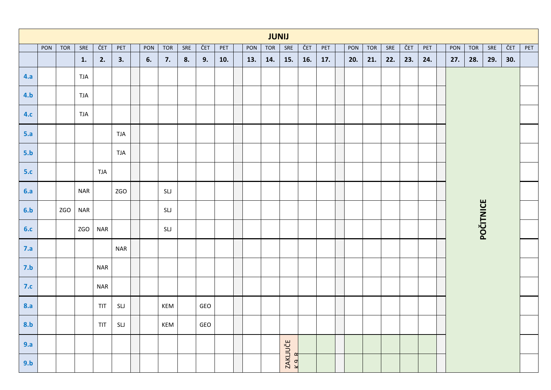|            |     |            |                |                                                                         |            |     |     |     |     |     |     | <b>JUNIJ</b> |                   |     |     |     |            |     |     |                             |     |                  |     |     |     |
|------------|-----|------------|----------------|-------------------------------------------------------------------------|------------|-----|-----|-----|-----|-----|-----|--------------|-------------------|-----|-----|-----|------------|-----|-----|-----------------------------|-----|------------------|-----|-----|-----|
|            | PON | <b>TOR</b> | SRE            | ČET                                                                     | PET        | PON | TOR | SRE | ČET | PET | PON | TOR          | SRE               | ČET | PET | PON | <b>TOR</b> | SRE | ČET | $\ensuremath{\mathsf{PET}}$ | PON | <b>TOR</b>       | SRE | ČET | PET |
|            |     |            | $\mathbf{1}$ . | 2.                                                                      | 3.         | 6.  | 7.  | 8.  | 9.  | 10. | 13. | 14.          | 15.               | 16. | 17. | 20. | 21.        | 22. | 23. | 24.                         | 27. | 28.              | 29. | 30. |     |
| 4.a        |     |            | <b>TJA</b>     |                                                                         |            |     |     |     |     |     |     |              |                   |     |     |     |            |     |     |                             |     |                  |     |     |     |
| 4.b        |     |            | <b>TJA</b>     |                                                                         |            |     |     |     |     |     |     |              |                   |     |     |     |            |     |     |                             |     |                  |     |     |     |
| 4.c        |     |            | <b>TJA</b>     |                                                                         |            |     |     |     |     |     |     |              |                   |     |     |     |            |     |     |                             |     |                  |     |     |     |
| 5.a        |     |            |                |                                                                         | <b>TJA</b> |     |     |     |     |     |     |              |                   |     |     |     |            |     |     |                             |     |                  |     |     |     |
| 5.b        |     |            |                |                                                                         | TJA        |     |     |     |     |     |     |              |                   |     |     |     |            |     |     |                             |     |                  |     |     |     |
| 5.c        |     |            |                | <b>TJA</b>                                                              |            |     |     |     |     |     |     |              |                   |     |     |     |            |     |     |                             |     |                  |     |     |     |
| 6.a        |     |            | <b>NAR</b>     |                                                                         | ZGO        |     | SLJ |     |     |     |     |              |                   |     |     |     |            |     |     |                             |     |                  |     |     |     |
| 6.b        |     | <b>ZGO</b> | <b>NAR</b>     |                                                                         |            |     | SLJ |     |     |     |     |              |                   |     |     |     |            |     |     |                             |     |                  |     |     |     |
| 6.c        |     |            | <b>ZGO</b>     | <b>NAR</b>                                                              |            |     | SLJ |     |     |     |     |              |                   |     |     |     |            |     |     |                             |     | <b>POČITNICE</b> |     |     |     |
| 7.a        |     |            |                |                                                                         | <b>NAR</b> |     |     |     |     |     |     |              |                   |     |     |     |            |     |     |                             |     |                  |     |     |     |
| 7.b        |     |            |                | <b>NAR</b>                                                              |            |     |     |     |     |     |     |              |                   |     |     |     |            |     |     |                             |     |                  |     |     |     |
| 7.c        |     |            |                | <b>NAR</b>                                                              |            |     |     |     |     |     |     |              |                   |     |     |     |            |     |     |                             |     |                  |     |     |     |
| <b>8.a</b> |     |            |                | TIT                                                                     | SLJ        |     | KEM |     | GEO |     |     |              |                   |     |     |     |            |     |     |                             |     |                  |     |     |     |
| 8.b        |     |            |                | $\ensuremath{\mathsf{T}}\ensuremath{\mathsf{T}}\ensuremath{\mathsf{T}}$ | SLJ        |     | KEM |     | GEO |     |     |              |                   |     |     |     |            |     |     |                             |     |                  |     |     |     |
| 9.a        |     |            |                |                                                                         |            |     |     |     |     |     |     |              |                   |     |     |     |            |     |     |                             |     |                  |     |     |     |
| 9.b        |     |            |                |                                                                         |            |     |     |     |     |     |     |              | ZAKLJUČE<br>K 9 R |     |     |     |            |     |     |                             |     |                  |     |     |     |